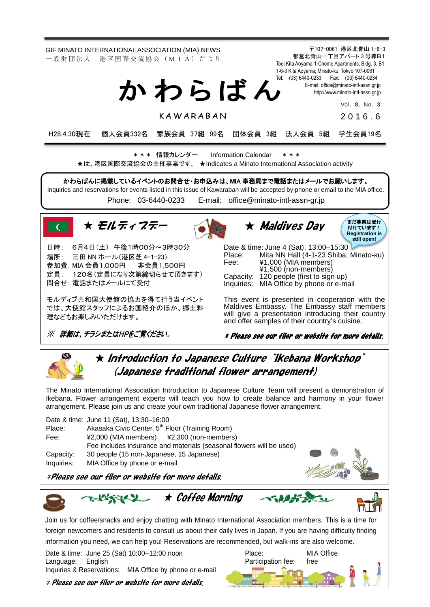GIF MINATO INTERNATIONAL ASSOCIATION (MIA) NEWS 一 般 財 団 法 人 港 区 国 際 交 流 協 会 (M I A) だ よ り

> Tel: (03) 6440-0233 Fax: (03) 6440-0234 か わ ら ば ん

> > K AW A R A B A N

E-mail[: office@minato-intl-assn.gr.jp](mailto:office@minato-intl-assn.gr.jp) [http://www.minato-intl-assn.gr.jp](http://www.minato-intl-assn.gr.jp/) Vol. 8, No. 3

2 0 1 6 . 6

〒107-0061 港区北青山 1-6-3 都営北青山一丁目アパート 3 号棟B1 Toei Kita Aoyama 1-Chome Apartments, Bldg. 3, B1 1-6-3 Kita Aoyama; Minato-ku, Tokyo 107-0061

H28.4.30現在 個人会員332名 家族会員 37組 99名 団体会員 3組 法人会員 5組 学生会員19名

\* \* \* 情報カレンダー Information Calendar \* \* \* ★は、港区国際交流協会の主催事業です。 ★Indicates a Minato International Association activity

かわらばんに掲載しているイベントのお問合せ・お申込みは、MIA 事務局まで電話またはメールでお願いします。 Inquiries and reservations for events listed in this issue of Kawaraban will be accepted by phone or email to the MIA office.

Phone: [03-6440-0233](mailto:TEL:%0903-6440-0233) E-mail: [office@minato-intl-assn-gr.jp](mailto:office@minato-intl-assn-gr.jp)



日時: 6月4日(土) 午後1時00分~3時30分 場所: 三田 NN ホール(港区芝 4-1-23) 参加費: MIA 会員1,000円 非会員1,500円 定員: 120名(定員になり次第締切らせて頂きます) 問合せ: 電話またはメールにて受付

モルディブ共和国大使館の協力を得て行う当イベント では、大使館スタッフによるお国紹介のほか、郷土料 理などもお楽しみいただけます。

※ 詳細は、チラシまたはHPをご覧ください。





Date & time: June 4 (Sat), 13:00–15:30 Place: Mita NN Hall (4-1-23 Shiba; Minato-ku)<br>Fee: ¥1,000 (MIA members) Fee: ¥1,000 (MIA members) ¥1,500 (non-members) Capacity: 120 people (first to sign up) Inquiries: MIA Office by phone or e-mail

This event is presented in cooperation with the Maldives Embassy. The Embassy staff members will give a presentation introducing their country and offer samples of their country's cuisine.

\* Please see our flier or website for more details.



 $\star$  Introduction to Japanese Culture  $\,$  "Ikebana Workshop" (Japanese traditional flower arrangement)

The Minato International Association Introduction to Japanese Culture Team will present a demonstration of Ikebana. Flower arrangement experts will teach you how to create balance and harmony in your flower arrangement. Please join us and create your own traditional Japanese flower arrangement.

|            | Date & time: June 11 (Sat), 13:30-16:00                              |                                     |  |
|------------|----------------------------------------------------------------------|-------------------------------------|--|
| Place:     | Akasaka Civic Center, 5 <sup>th</sup> Floor (Training Room)          |                                     |  |
| Fee:       | $\yen$ 2,000 (MIA members) $\yen$ 2,300 (non-members)                |                                     |  |
|            | Fee includes insurance and materials (seasonal flowers will be used) | $\displaystyle\qquad \qquad \qquad$ |  |
| Capacity:  | 30 people (15 non-Japanese, 15 Japanese)                             |                                     |  |
| Inquiries: | MIA Office by phone or e-mail                                        |                                     |  |

\*Please see our flier or website for more details.